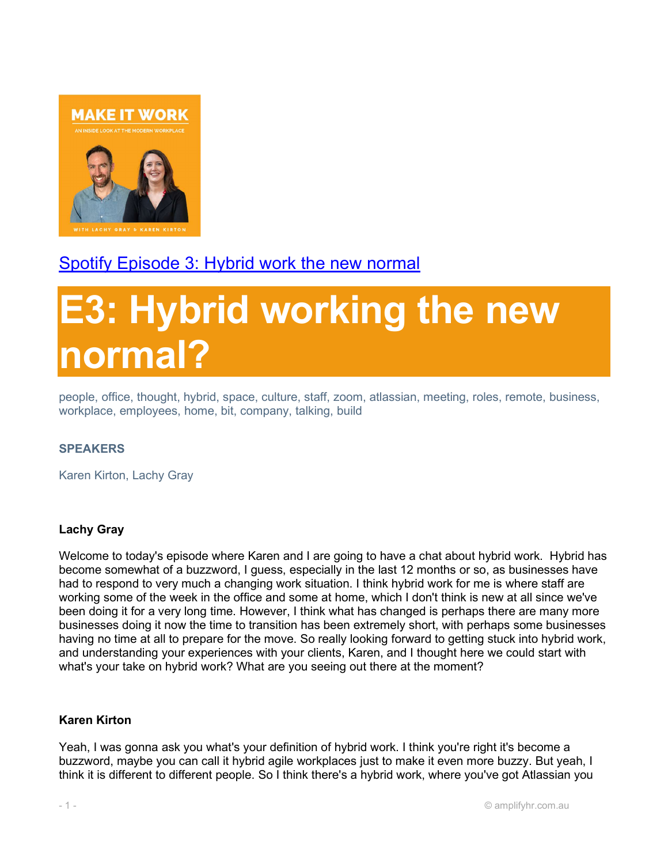

# Spotify Episode 3: Hybrid work the new normal

# E3: Hybrid working the new normal?

people, office, thought, hybrid, space, culture, staff, zoom, atlassian, meeting, roles, remote, business, workplace, employees, home, bit, company, talking, build

# SPEAKERS

Karen Kirton, Lachy Gray

# Lachy Gray

Welcome to today's episode where Karen and I are going to have a chat about hybrid work. Hybrid has become somewhat of a buzzword, I guess, especially in the last 12 months or so, as businesses have had to respond to very much a changing work situation. I think hybrid work for me is where staff are working some of the week in the office and some at home, which I don't think is new at all since we've been doing it for a very long time. However, I think what has changed is perhaps there are many more businesses doing it now the time to transition has been extremely short, with perhaps some businesses having no time at all to prepare for the move. So really looking forward to getting stuck into hybrid work, and understanding your experiences with your clients, Karen, and I thought here we could start with what's your take on hybrid work? What are you seeing out there at the moment?

#### Karen Kirton

Yeah, I was gonna ask you what's your definition of hybrid work. I think you're right it's become a buzzword, maybe you can call it hybrid agile workplaces just to make it even more buzzy. But yeah, I think it is different to different people. So I think there's a hybrid work, where you've got Atlassian you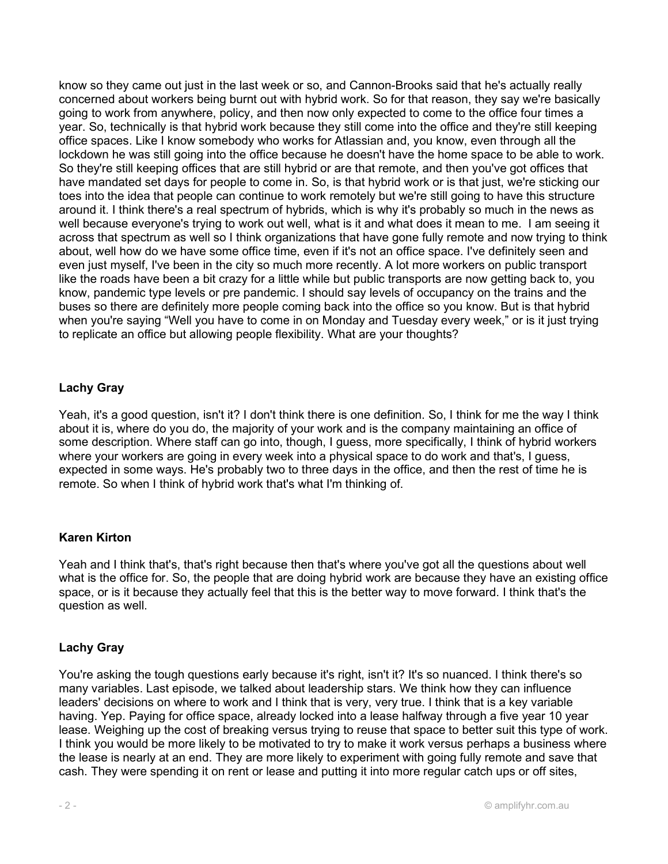know so they came out just in the last week or so, and Cannon-Brooks said that he's actually really concerned about workers being burnt out with hybrid work. So for that reason, they say we're basically going to work from anywhere, policy, and then now only expected to come to the office four times a year. So, technically is that hybrid work because they still come into the office and they're still keeping office spaces. Like I know somebody who works for Atlassian and, you know, even through all the lockdown he was still going into the office because he doesn't have the home space to be able to work. So they're still keeping offices that are still hybrid or are that remote, and then you've got offices that have mandated set days for people to come in. So, is that hybrid work or is that just, we're sticking our toes into the idea that people can continue to work remotely but we're still going to have this structure around it. I think there's a real spectrum of hybrids, which is why it's probably so much in the news as well because everyone's trying to work out well, what is it and what does it mean to me. I am seeing it across that spectrum as well so I think organizations that have gone fully remote and now trying to think about, well how do we have some office time, even if it's not an office space. I've definitely seen and even just myself, I've been in the city so much more recently. A lot more workers on public transport like the roads have been a bit crazy for a little while but public transports are now getting back to, you know, pandemic type levels or pre pandemic. I should say levels of occupancy on the trains and the buses so there are definitely more people coming back into the office so you know. But is that hybrid when you're saying "Well you have to come in on Monday and Tuesday every week," or is it just trying to replicate an office but allowing people flexibility. What are your thoughts?

# Lachy Gray

Yeah, it's a good question, isn't it? I don't think there is one definition. So, I think for me the way I think about it is, where do you do, the majority of your work and is the company maintaining an office of some description. Where staff can go into, though, I guess, more specifically, I think of hybrid workers where your workers are going in every week into a physical space to do work and that's, I guess, expected in some ways. He's probably two to three days in the office, and then the rest of time he is remote. So when I think of hybrid work that's what I'm thinking of.

# Karen Kirton

Yeah and I think that's, that's right because then that's where you've got all the questions about well what is the office for. So, the people that are doing hybrid work are because they have an existing office space, or is it because they actually feel that this is the better way to move forward. I think that's the question as well.

# Lachy Gray

You're asking the tough questions early because it's right, isn't it? It's so nuanced. I think there's so many variables. Last episode, we talked about leadership stars. We think how they can influence leaders' decisions on where to work and I think that is very, very true. I think that is a key variable having. Yep. Paying for office space, already locked into a lease halfway through a five year 10 year lease. Weighing up the cost of breaking versus trying to reuse that space to better suit this type of work. I think you would be more likely to be motivated to try to make it work versus perhaps a business where the lease is nearly at an end. They are more likely to experiment with going fully remote and save that cash. They were spending it on rent or lease and putting it into more regular catch ups or off sites,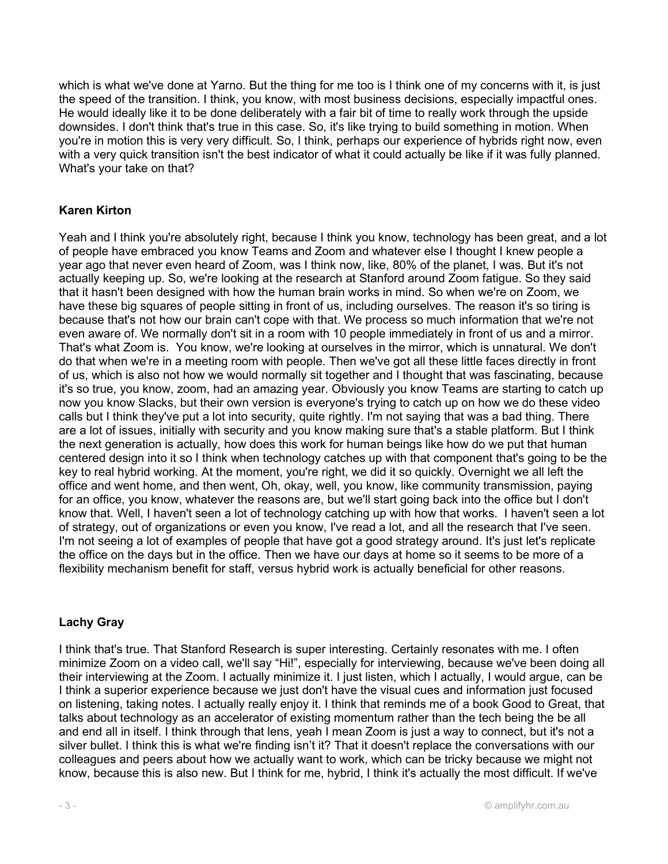which is what we've done at Yarno. But the thing for me too is I think one of my concerns with it, is just the speed of the transition. I think, you know, with most business decisions, especially impactful ones. He would ideally like it to be done deliberately with a fair bit of time to really work through the upside downsides. I don't think that's true in this case. So, it's like trying to build something in motion. When you're in motion this is very very difficult. So, I think, perhaps our experience of hybrids right now, even with a very quick transition isn't the best indicator of what it could actually be like if it was fully planned. What's your take on that?

# Karen Kirton

Yeah and I think you're absolutely right, because I think you know, technology has been great, and a lot of people have embraced you know Teams and Zoom and whatever else I thought I knew people a year ago that never even heard of Zoom, was I think now, like, 80% of the planet, I was. But it's not actually keeping up. So, we're looking at the research at Stanford around Zoom fatigue. So they said that it hasn't been designed with how the human brain works in mind. So when we're on Zoom, we have these big squares of people sitting in front of us, including ourselves. The reason it's so tiring is because that's not how our brain can't cope with that. We process so much information that we're not even aware of. We normally don't sit in a room with 10 people immediately in front of us and a mirror. That's what Zoom is. You know, we're looking at ourselves in the mirror, which is unnatural. We don't do that when we're in a meeting room with people. Then we've got all these little faces directly in front of us, which is also not how we would normally sit together and I thought that was fascinating, because it's so true, you know, zoom, had an amazing year. Obviously you know Teams are starting to catch up now you know Slacks, but their own version is everyone's trying to catch up on how we do these video calls but I think they've put a lot into security, quite rightly. I'm not saying that was a bad thing. There are a lot of issues, initially with security and you know making sure that's a stable platform. But I think the next generation is actually, how does this work for human beings like how do we put that human centered design into it so I think when technology catches up with that component that's going to be the key to real hybrid working. At the moment, you're right, we did it so quickly. Overnight we all left the office and went home, and then went, Oh, okay, well, you know, like community transmission, paying for an office, you know, whatever the reasons are, but we'll start going back into the office but I don't know that. Well, I haven't seen a lot of technology catching up with how that works. I haven't seen a lot of strategy, out of organizations or even you know, I've read a lot, and all the research that I've seen. I'm not seeing a lot of examples of people that have got a good strategy around. It's just let's replicate the office on the days but in the office. Then we have our days at home so it seems to be more of a flexibility mechanism benefit for staff, versus hybrid work is actually beneficial for other reasons.

# Lachy Gray

I think that's true. That Stanford Research is super interesting. Certainly resonates with me. I often minimize Zoom on a video call, we'll say "Hi!", especially for interviewing, because we've been doing all their interviewing at the Zoom. I actually minimize it. I just listen, which I actually, I would argue, can be I think a superior experience because we just don't have the visual cues and information just focused on listening, taking notes. I actually really enjoy it. I think that reminds me of a book Good to Great, that talks about technology as an accelerator of existing momentum rather than the tech being the be all and end all in itself. I think through that lens, yeah I mean Zoom is just a way to connect, but it's not a silver bullet. I think this is what we're finding isn't it? That it doesn't replace the conversations with our colleagues and peers about how we actually want to work, which can be tricky because we might not know, because this is also new. But I think for me, hybrid, I think it's actually the most difficult. If we've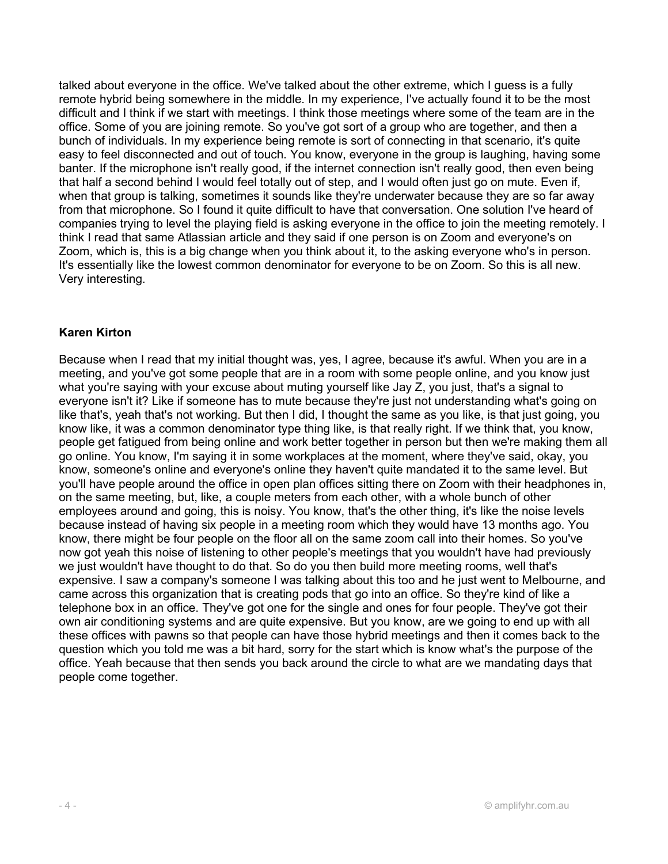talked about everyone in the office. We've talked about the other extreme, which I guess is a fully remote hybrid being somewhere in the middle. In my experience, I've actually found it to be the most difficult and I think if we start with meetings. I think those meetings where some of the team are in the office. Some of you are joining remote. So you've got sort of a group who are together, and then a bunch of individuals. In my experience being remote is sort of connecting in that scenario, it's quite easy to feel disconnected and out of touch. You know, everyone in the group is laughing, having some banter. If the microphone isn't really good, if the internet connection isn't really good, then even being that half a second behind I would feel totally out of step, and I would often just go on mute. Even if, when that group is talking, sometimes it sounds like they're underwater because they are so far away from that microphone. So I found it quite difficult to have that conversation. One solution I've heard of companies trying to level the playing field is asking everyone in the office to join the meeting remotely. I think I read that same Atlassian article and they said if one person is on Zoom and everyone's on Zoom, which is, this is a big change when you think about it, to the asking everyone who's in person. It's essentially like the lowest common denominator for everyone to be on Zoom. So this is all new. Very interesting.

# Karen Kirton

Because when I read that my initial thought was, yes, I agree, because it's awful. When you are in a meeting, and you've got some people that are in a room with some people online, and you know just what you're saying with your excuse about muting yourself like Jay Z, you just, that's a signal to everyone isn't it? Like if someone has to mute because they're just not understanding what's going on like that's, yeah that's not working. But then I did, I thought the same as you like, is that just going, you know like, it was a common denominator type thing like, is that really right. If we think that, you know, people get fatigued from being online and work better together in person but then we're making them all go online. You know, I'm saying it in some workplaces at the moment, where they've said, okay, you know, someone's online and everyone's online they haven't quite mandated it to the same level. But you'll have people around the office in open plan offices sitting there on Zoom with their headphones in, on the same meeting, but, like, a couple meters from each other, with a whole bunch of other employees around and going, this is noisy. You know, that's the other thing, it's like the noise levels because instead of having six people in a meeting room which they would have 13 months ago. You know, there might be four people on the floor all on the same zoom call into their homes. So you've now got yeah this noise of listening to other people's meetings that you wouldn't have had previously we just wouldn't have thought to do that. So do you then build more meeting rooms, well that's expensive. I saw a company's someone I was talking about this too and he just went to Melbourne, and came across this organization that is creating pods that go into an office. So they're kind of like a telephone box in an office. They've got one for the single and ones for four people. They've got their own air conditioning systems and are quite expensive. But you know, are we going to end up with all these offices with pawns so that people can have those hybrid meetings and then it comes back to the question which you told me was a bit hard, sorry for the start which is know what's the purpose of the office. Yeah because that then sends you back around the circle to what are we mandating days that people come together.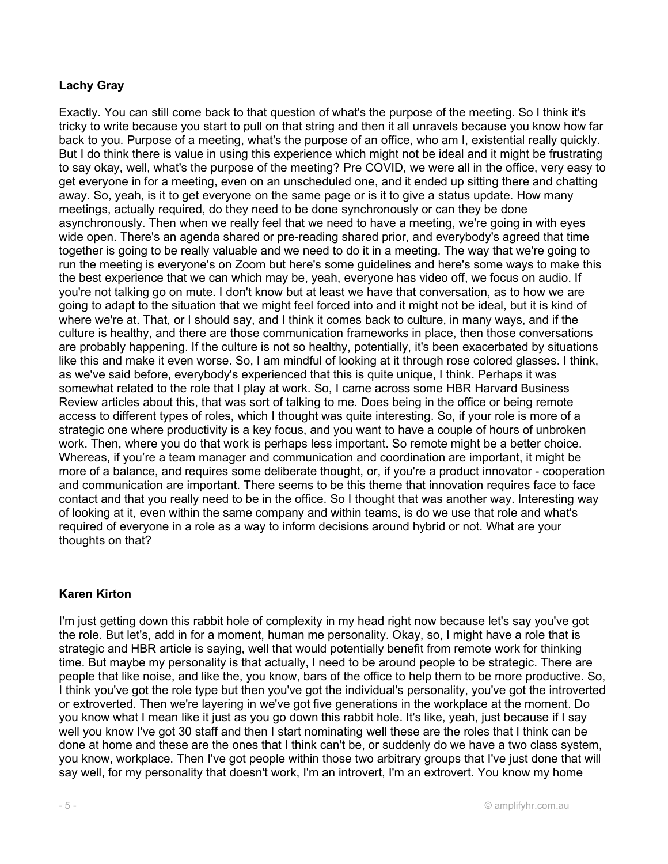# Lachy Gray

Exactly. You can still come back to that question of what's the purpose of the meeting. So I think it's tricky to write because you start to pull on that string and then it all unravels because you know how far back to you. Purpose of a meeting, what's the purpose of an office, who am I, existential really quickly. But I do think there is value in using this experience which might not be ideal and it might be frustrating to say okay, well, what's the purpose of the meeting? Pre COVID, we were all in the office, very easy to get everyone in for a meeting, even on an unscheduled one, and it ended up sitting there and chatting away. So, yeah, is it to get everyone on the same page or is it to give a status update. How many meetings, actually required, do they need to be done synchronously or can they be done asynchronously. Then when we really feel that we need to have a meeting, we're going in with eyes wide open. There's an agenda shared or pre-reading shared prior, and everybody's agreed that time together is going to be really valuable and we need to do it in a meeting. The way that we're going to run the meeting is everyone's on Zoom but here's some guidelines and here's some ways to make this the best experience that we can which may be, yeah, everyone has video off, we focus on audio. If you're not talking go on mute. I don't know but at least we have that conversation, as to how we are going to adapt to the situation that we might feel forced into and it might not be ideal, but it is kind of where we're at. That, or I should say, and I think it comes back to culture, in many ways, and if the culture is healthy, and there are those communication frameworks in place, then those conversations are probably happening. If the culture is not so healthy, potentially, it's been exacerbated by situations like this and make it even worse. So, I am mindful of looking at it through rose colored glasses. I think, as we've said before, everybody's experienced that this is quite unique, I think. Perhaps it was somewhat related to the role that I play at work. So, I came across some HBR Harvard Business Review articles about this, that was sort of talking to me. Does being in the office or being remote access to different types of roles, which I thought was quite interesting. So, if your role is more of a strategic one where productivity is a key focus, and you want to have a couple of hours of unbroken work. Then, where you do that work is perhaps less important. So remote might be a better choice. Whereas, if you're a team manager and communication and coordination are important, it might be more of a balance, and requires some deliberate thought, or, if you're a product innovator - cooperation and communication are important. There seems to be this theme that innovation requires face to face contact and that you really need to be in the office. So I thought that was another way. Interesting way of looking at it, even within the same company and within teams, is do we use that role and what's required of everyone in a role as a way to inform decisions around hybrid or not. What are your thoughts on that?

# Karen Kirton

I'm just getting down this rabbit hole of complexity in my head right now because let's say you've got the role. But let's, add in for a moment, human me personality. Okay, so, I might have a role that is strategic and HBR article is saying, well that would potentially benefit from remote work for thinking time. But maybe my personality is that actually, I need to be around people to be strategic. There are people that like noise, and like the, you know, bars of the office to help them to be more productive. So, I think you've got the role type but then you've got the individual's personality, you've got the introverted or extroverted. Then we're layering in we've got five generations in the workplace at the moment. Do you know what I mean like it just as you go down this rabbit hole. It's like, yeah, just because if I say well you know I've got 30 staff and then I start nominating well these are the roles that I think can be done at home and these are the ones that I think can't be, or suddenly do we have a two class system, you know, workplace. Then I've got people within those two arbitrary groups that I've just done that will say well, for my personality that doesn't work, I'm an introvert, I'm an extrovert. You know my home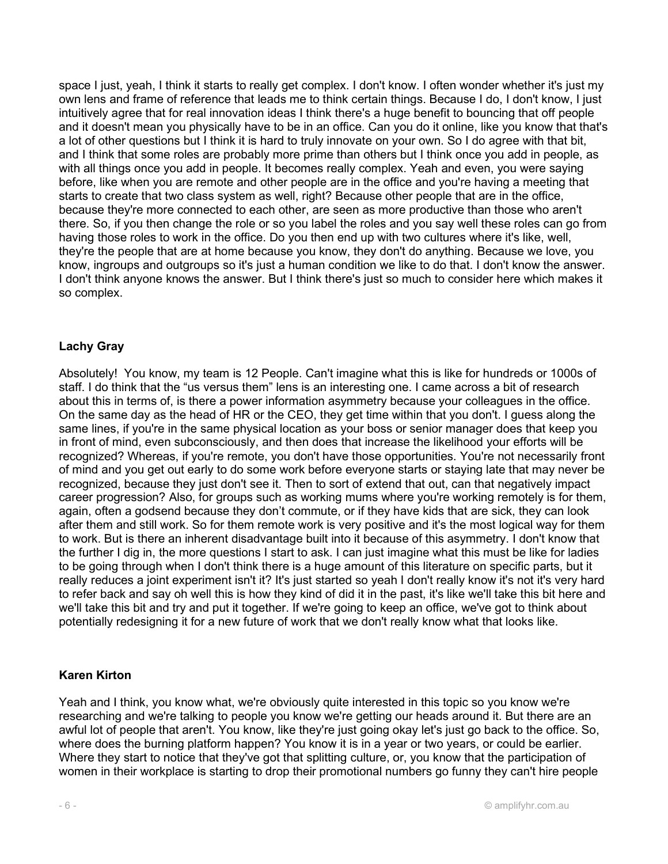space I just, yeah, I think it starts to really get complex. I don't know. I often wonder whether it's just my own lens and frame of reference that leads me to think certain things. Because I do, I don't know, I just intuitively agree that for real innovation ideas I think there's a huge benefit to bouncing that off people and it doesn't mean you physically have to be in an office. Can you do it online, like you know that that's a lot of other questions but I think it is hard to truly innovate on your own. So I do agree with that bit, and I think that some roles are probably more prime than others but I think once you add in people, as with all things once you add in people. It becomes really complex. Yeah and even, you were saying before, like when you are remote and other people are in the office and you're having a meeting that starts to create that two class system as well, right? Because other people that are in the office, because they're more connected to each other, are seen as more productive than those who aren't there. So, if you then change the role or so you label the roles and you say well these roles can go from having those roles to work in the office. Do you then end up with two cultures where it's like, well, they're the people that are at home because you know, they don't do anything. Because we love, you know, ingroups and outgroups so it's just a human condition we like to do that. I don't know the answer. I don't think anyone knows the answer. But I think there's just so much to consider here which makes it so complex.

# Lachy Gray

Absolutely! You know, my team is 12 People. Can't imagine what this is like for hundreds or 1000s of staff. I do think that the "us versus them" lens is an interesting one. I came across a bit of research about this in terms of, is there a power information asymmetry because your colleagues in the office. On the same day as the head of HR or the CEO, they get time within that you don't. I guess along the same lines, if you're in the same physical location as your boss or senior manager does that keep you in front of mind, even subconsciously, and then does that increase the likelihood your efforts will be recognized? Whereas, if you're remote, you don't have those opportunities. You're not necessarily front of mind and you get out early to do some work before everyone starts or staying late that may never be recognized, because they just don't see it. Then to sort of extend that out, can that negatively impact career progression? Also, for groups such as working mums where you're working remotely is for them, again, often a godsend because they don't commute, or if they have kids that are sick, they can look after them and still work. So for them remote work is very positive and it's the most logical way for them to work. But is there an inherent disadvantage built into it because of this asymmetry. I don't know that the further I dig in, the more questions I start to ask. I can just imagine what this must be like for ladies to be going through when I don't think there is a huge amount of this literature on specific parts, but it really reduces a joint experiment isn't it? It's just started so yeah I don't really know it's not it's very hard to refer back and say oh well this is how they kind of did it in the past, it's like we'll take this bit here and we'll take this bit and try and put it together. If we're going to keep an office, we've got to think about potentially redesigning it for a new future of work that we don't really know what that looks like.

# Karen Kirton

Yeah and I think, you know what, we're obviously quite interested in this topic so you know we're researching and we're talking to people you know we're getting our heads around it. But there are an awful lot of people that aren't. You know, like they're just going okay let's just go back to the office. So, where does the burning platform happen? You know it is in a year or two years, or could be earlier. Where they start to notice that they've got that splitting culture, or, you know that the participation of women in their workplace is starting to drop their promotional numbers go funny they can't hire people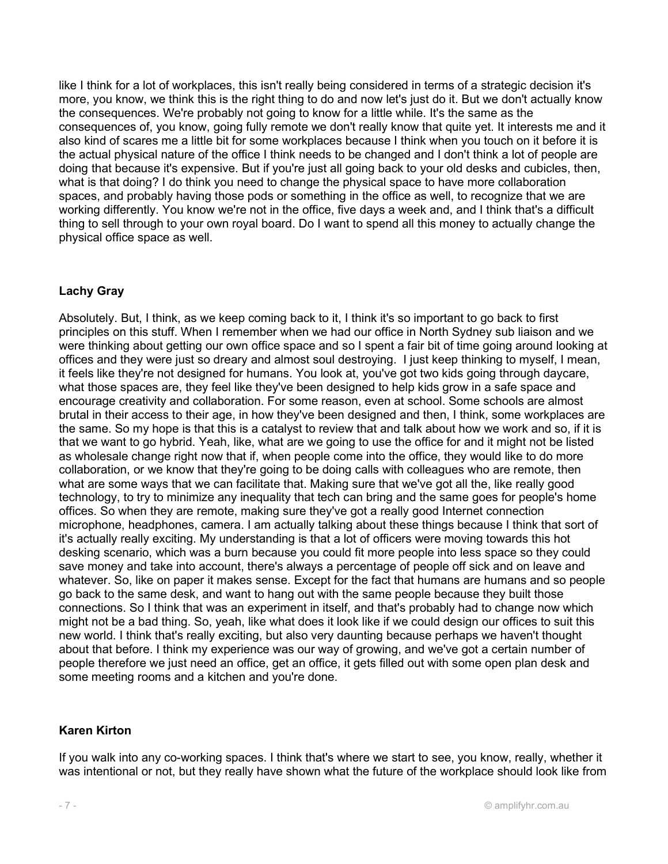like I think for a lot of workplaces, this isn't really being considered in terms of a strategic decision it's more, you know, we think this is the right thing to do and now let's just do it. But we don't actually know the consequences. We're probably not going to know for a little while. It's the same as the consequences of, you know, going fully remote we don't really know that quite yet. It interests me and it also kind of scares me a little bit for some workplaces because I think when you touch on it before it is the actual physical nature of the office I think needs to be changed and I don't think a lot of people are doing that because it's expensive. But if you're just all going back to your old desks and cubicles, then, what is that doing? I do think you need to change the physical space to have more collaboration spaces, and probably having those pods or something in the office as well, to recognize that we are working differently. You know we're not in the office, five days a week and, and I think that's a difficult thing to sell through to your own royal board. Do I want to spend all this money to actually change the physical office space as well.

# Lachy Gray

Absolutely. But, I think, as we keep coming back to it, I think it's so important to go back to first principles on this stuff. When I remember when we had our office in North Sydney sub liaison and we were thinking about getting our own office space and so I spent a fair bit of time going around looking at offices and they were just so dreary and almost soul destroying. I just keep thinking to myself, I mean, it feels like they're not designed for humans. You look at, you've got two kids going through daycare, what those spaces are, they feel like they've been designed to help kids grow in a safe space and encourage creativity and collaboration. For some reason, even at school. Some schools are almost brutal in their access to their age, in how they've been designed and then, I think, some workplaces are the same. So my hope is that this is a catalyst to review that and talk about how we work and so, if it is that we want to go hybrid. Yeah, like, what are we going to use the office for and it might not be listed as wholesale change right now that if, when people come into the office, they would like to do more collaboration, or we know that they're going to be doing calls with colleagues who are remote, then what are some ways that we can facilitate that. Making sure that we've got all the, like really good technology, to try to minimize any inequality that tech can bring and the same goes for people's home offices. So when they are remote, making sure they've got a really good Internet connection microphone, headphones, camera. I am actually talking about these things because I think that sort of it's actually really exciting. My understanding is that a lot of officers were moving towards this hot desking scenario, which was a burn because you could fit more people into less space so they could save money and take into account, there's always a percentage of people off sick and on leave and whatever. So, like on paper it makes sense. Except for the fact that humans are humans and so people go back to the same desk, and want to hang out with the same people because they built those connections. So I think that was an experiment in itself, and that's probably had to change now which might not be a bad thing. So, yeah, like what does it look like if we could design our offices to suit this new world. I think that's really exciting, but also very daunting because perhaps we haven't thought about that before. I think my experience was our way of growing, and we've got a certain number of people therefore we just need an office, get an office, it gets filled out with some open plan desk and some meeting rooms and a kitchen and you're done.

# Karen Kirton

If you walk into any co-working spaces. I think that's where we start to see, you know, really, whether it was intentional or not, but they really have shown what the future of the workplace should look like from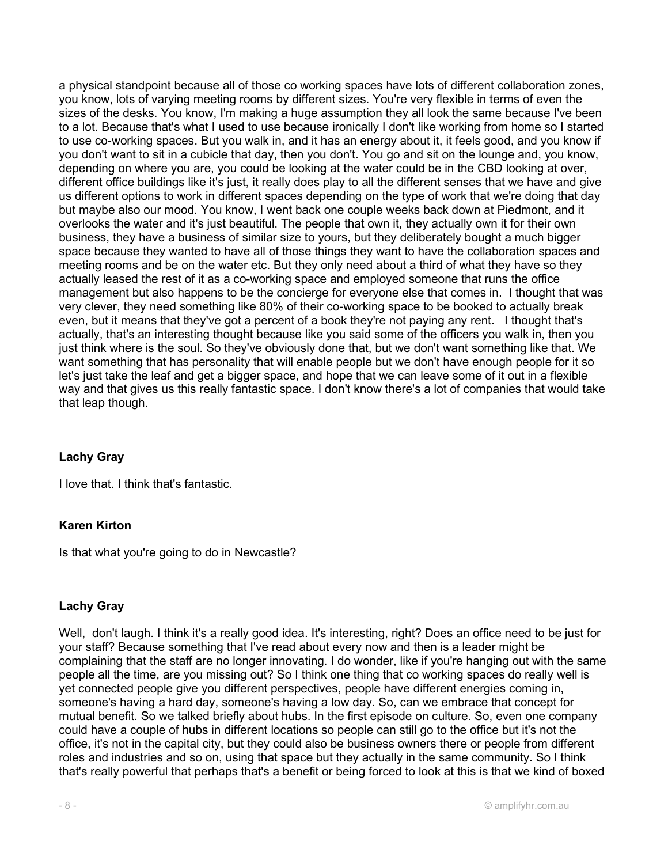a physical standpoint because all of those co working spaces have lots of different collaboration zones, you know, lots of varying meeting rooms by different sizes. You're very flexible in terms of even the sizes of the desks. You know, I'm making a huge assumption they all look the same because I've been to a lot. Because that's what I used to use because ironically I don't like working from home so I started to use co-working spaces. But you walk in, and it has an energy about it, it feels good, and you know if you don't want to sit in a cubicle that day, then you don't. You go and sit on the lounge and, you know, depending on where you are, you could be looking at the water could be in the CBD looking at over, different office buildings like it's just, it really does play to all the different senses that we have and give us different options to work in different spaces depending on the type of work that we're doing that day but maybe also our mood. You know, I went back one couple weeks back down at Piedmont, and it overlooks the water and it's just beautiful. The people that own it, they actually own it for their own business, they have a business of similar size to yours, but they deliberately bought a much bigger space because they wanted to have all of those things they want to have the collaboration spaces and meeting rooms and be on the water etc. But they only need about a third of what they have so they actually leased the rest of it as a co-working space and employed someone that runs the office management but also happens to be the concierge for everyone else that comes in. I thought that was very clever, they need something like 80% of their co-working space to be booked to actually break even, but it means that they've got a percent of a book they're not paying any rent. I thought that's actually, that's an interesting thought because like you said some of the officers you walk in, then you just think where is the soul. So they've obviously done that, but we don't want something like that. We want something that has personality that will enable people but we don't have enough people for it so let's just take the leaf and get a bigger space, and hope that we can leave some of it out in a flexible way and that gives us this really fantastic space. I don't know there's a lot of companies that would take that leap though.

# Lachy Gray

I love that. I think that's fantastic.

# Karen Kirton

Is that what you're going to do in Newcastle?

# Lachy Gray

Well, don't laugh. I think it's a really good idea. It's interesting, right? Does an office need to be just for your staff? Because something that I've read about every now and then is a leader might be complaining that the staff are no longer innovating. I do wonder, like if you're hanging out with the same people all the time, are you missing out? So I think one thing that co working spaces do really well is yet connected people give you different perspectives, people have different energies coming in, someone's having a hard day, someone's having a low day. So, can we embrace that concept for mutual benefit. So we talked briefly about hubs. In the first episode on culture. So, even one company could have a couple of hubs in different locations so people can still go to the office but it's not the office, it's not in the capital city, but they could also be business owners there or people from different roles and industries and so on, using that space but they actually in the same community. So I think that's really powerful that perhaps that's a benefit or being forced to look at this is that we kind of boxed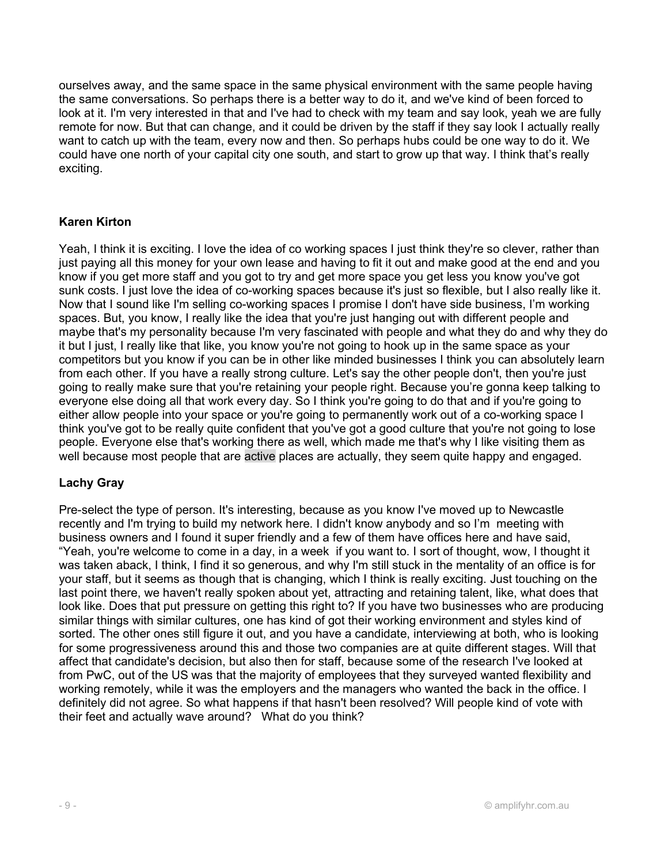ourselves away, and the same space in the same physical environment with the same people having the same conversations. So perhaps there is a better way to do it, and we've kind of been forced to look at it. I'm very interested in that and I've had to check with my team and say look, yeah we are fully remote for now. But that can change, and it could be driven by the staff if they say look I actually really want to catch up with the team, every now and then. So perhaps hubs could be one way to do it. We could have one north of your capital city one south, and start to grow up that way. I think that's really exciting.

# Karen Kirton

Yeah, I think it is exciting. I love the idea of co working spaces I just think they're so clever, rather than just paying all this money for your own lease and having to fit it out and make good at the end and you know if you get more staff and you got to try and get more space you get less you know you've got sunk costs. I just love the idea of co-working spaces because it's just so flexible, but I also really like it. Now that I sound like I'm selling co-working spaces I promise I don't have side business, I'm working spaces. But, you know, I really like the idea that you're just hanging out with different people and maybe that's my personality because I'm very fascinated with people and what they do and why they do it but I just, I really like that like, you know you're not going to hook up in the same space as your competitors but you know if you can be in other like minded businesses I think you can absolutely learn from each other. If you have a really strong culture. Let's say the other people don't, then you're just going to really make sure that you're retaining your people right. Because you're gonna keep talking to everyone else doing all that work every day. So I think you're going to do that and if you're going to either allow people into your space or you're going to permanently work out of a co-working space I think you've got to be really quite confident that you've got a good culture that you're not going to lose people. Everyone else that's working there as well, which made me that's why I like visiting them as well because most people that are active places are actually, they seem quite happy and engaged.

# Lachy Gray

Pre-select the type of person. It's interesting, because as you know I've moved up to Newcastle recently and I'm trying to build my network here. I didn't know anybody and so I'm meeting with business owners and I found it super friendly and a few of them have offices here and have said, "Yeah, you're welcome to come in a day, in a week if you want to. I sort of thought, wow, I thought it was taken aback, I think, I find it so generous, and why I'm still stuck in the mentality of an office is for your staff, but it seems as though that is changing, which I think is really exciting. Just touching on the last point there, we haven't really spoken about yet, attracting and retaining talent, like, what does that look like. Does that put pressure on getting this right to? If you have two businesses who are producing similar things with similar cultures, one has kind of got their working environment and styles kind of sorted. The other ones still figure it out, and you have a candidate, interviewing at both, who is looking for some progressiveness around this and those two companies are at quite different stages. Will that affect that candidate's decision, but also then for staff, because some of the research I've looked at from PwC, out of the US was that the majority of employees that they surveyed wanted flexibility and working remotely, while it was the employers and the managers who wanted the back in the office. I definitely did not agree. So what happens if that hasn't been resolved? Will people kind of vote with their feet and actually wave around? What do you think?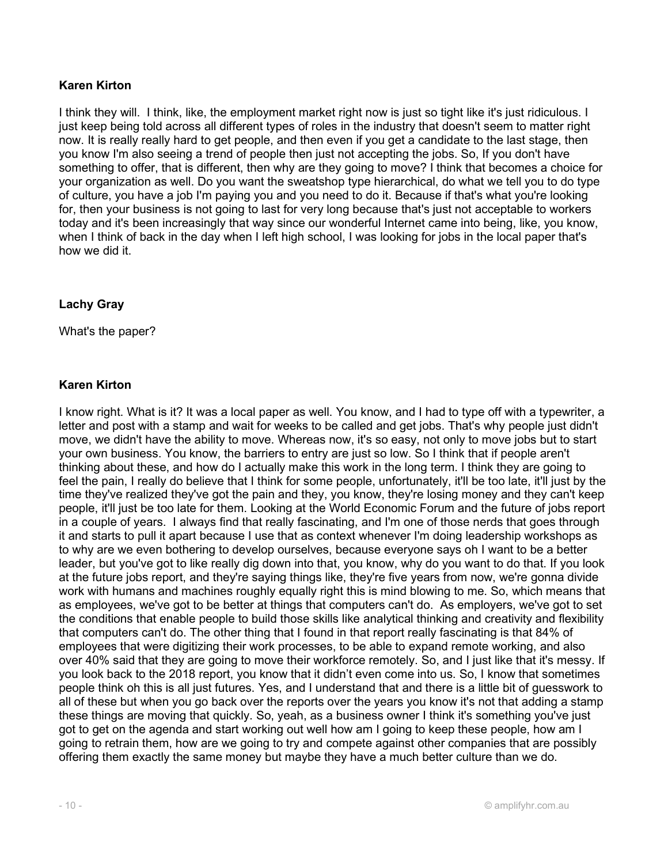I think they will. I think, like, the employment market right now is just so tight like it's just ridiculous. I just keep being told across all different types of roles in the industry that doesn't seem to matter right now. It is really really hard to get people, and then even if you get a candidate to the last stage, then you know I'm also seeing a trend of people then just not accepting the jobs. So, If you don't have something to offer, that is different, then why are they going to move? I think that becomes a choice for your organization as well. Do you want the sweatshop type hierarchical, do what we tell you to do type of culture, you have a job I'm paying you and you need to do it. Because if that's what you're looking for, then your business is not going to last for very long because that's just not acceptable to workers today and it's been increasingly that way since our wonderful Internet came into being, like, you know, when I think of back in the day when I left high school, I was looking for jobs in the local paper that's how we did it.

# Lachy Gray

What's the paper?

# Karen Kirton

I know right. What is it? It was a local paper as well. You know, and I had to type off with a typewriter, a letter and post with a stamp and wait for weeks to be called and get jobs. That's why people just didn't move, we didn't have the ability to move. Whereas now, it's so easy, not only to move jobs but to start your own business. You know, the barriers to entry are just so low. So I think that if people aren't thinking about these, and how do I actually make this work in the long term. I think they are going to feel the pain, I really do believe that I think for some people, unfortunately, it'll be too late, it'll just by the time they've realized they've got the pain and they, you know, they're losing money and they can't keep people, it'll just be too late for them. Looking at the World Economic Forum and the future of jobs report in a couple of years. I always find that really fascinating, and I'm one of those nerds that goes through it and starts to pull it apart because I use that as context whenever I'm doing leadership workshops as to why are we even bothering to develop ourselves, because everyone says oh I want to be a better leader, but you've got to like really dig down into that, you know, why do you want to do that. If you look at the future jobs report, and they're saying things like, they're five years from now, we're gonna divide work with humans and machines roughly equally right this is mind blowing to me. So, which means that as employees, we've got to be better at things that computers can't do. As employers, we've got to set the conditions that enable people to build those skills like analytical thinking and creativity and flexibility that computers can't do. The other thing that I found in that report really fascinating is that 84% of employees that were digitizing their work processes, to be able to expand remote working, and also over 40% said that they are going to move their workforce remotely. So, and I just like that it's messy. If you look back to the 2018 report, you know that it didn't even come into us. So, I know that sometimes people think oh this is all just futures. Yes, and I understand that and there is a little bit of guesswork to all of these but when you go back over the reports over the years you know it's not that adding a stamp these things are moving that quickly. So, yeah, as a business owner I think it's something you've just got to get on the agenda and start working out well how am I going to keep these people, how am I going to retrain them, how are we going to try and compete against other companies that are possibly offering them exactly the same money but maybe they have a much better culture than we do.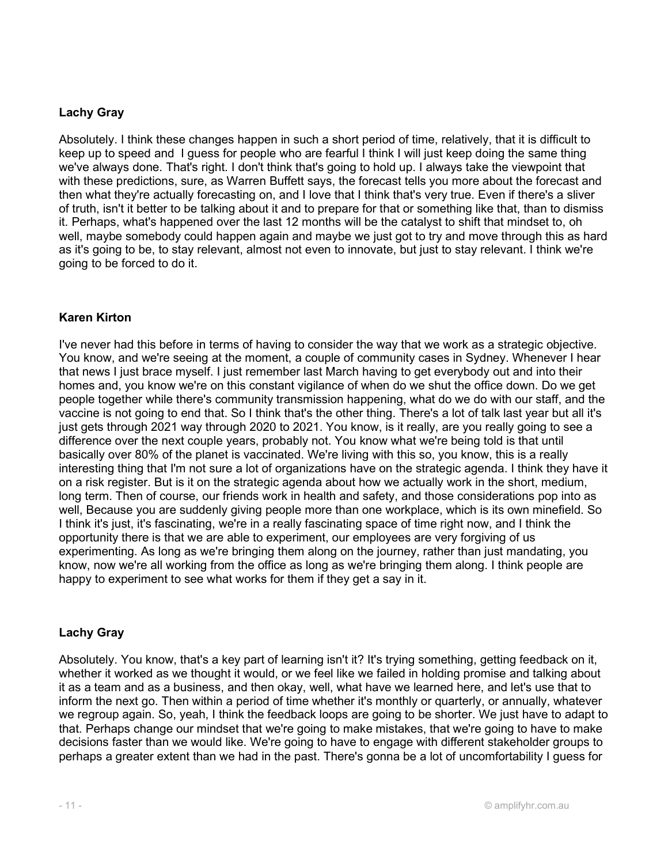# Lachy Gray

Absolutely. I think these changes happen in such a short period of time, relatively, that it is difficult to keep up to speed and I guess for people who are fearful I think I will just keep doing the same thing we've always done. That's right. I don't think that's going to hold up. I always take the viewpoint that with these predictions, sure, as Warren Buffett says, the forecast tells you more about the forecast and then what they're actually forecasting on, and I love that I think that's very true. Even if there's a sliver of truth, isn't it better to be talking about it and to prepare for that or something like that, than to dismiss it. Perhaps, what's happened over the last 12 months will be the catalyst to shift that mindset to, oh well, maybe somebody could happen again and maybe we just got to try and move through this as hard as it's going to be, to stay relevant, almost not even to innovate, but just to stay relevant. I think we're going to be forced to do it.

# Karen Kirton

I've never had this before in terms of having to consider the way that we work as a strategic objective. You know, and we're seeing at the moment, a couple of community cases in Sydney. Whenever I hear that news I just brace myself. I just remember last March having to get everybody out and into their homes and, you know we're on this constant vigilance of when do we shut the office down. Do we get people together while there's community transmission happening, what do we do with our staff, and the vaccine is not going to end that. So I think that's the other thing. There's a lot of talk last year but all it's just gets through 2021 way through 2020 to 2021. You know, is it really, are you really going to see a difference over the next couple years, probably not. You know what we're being told is that until basically over 80% of the planet is vaccinated. We're living with this so, you know, this is a really interesting thing that I'm not sure a lot of organizations have on the strategic agenda. I think they have it on a risk register. But is it on the strategic agenda about how we actually work in the short, medium, long term. Then of course, our friends work in health and safety, and those considerations pop into as well, Because you are suddenly giving people more than one workplace, which is its own minefield. So I think it's just, it's fascinating, we're in a really fascinating space of time right now, and I think the opportunity there is that we are able to experiment, our employees are very forgiving of us experimenting. As long as we're bringing them along on the journey, rather than just mandating, you know, now we're all working from the office as long as we're bringing them along. I think people are happy to experiment to see what works for them if they get a say in it.

# Lachy Gray

Absolutely. You know, that's a key part of learning isn't it? It's trying something, getting feedback on it, whether it worked as we thought it would, or we feel like we failed in holding promise and talking about it as a team and as a business, and then okay, well, what have we learned here, and let's use that to inform the next go. Then within a period of time whether it's monthly or quarterly, or annually, whatever we regroup again. So, yeah, I think the feedback loops are going to be shorter. We just have to adapt to that. Perhaps change our mindset that we're going to make mistakes, that we're going to have to make decisions faster than we would like. We're going to have to engage with different stakeholder groups to perhaps a greater extent than we had in the past. There's gonna be a lot of uncomfortability I guess for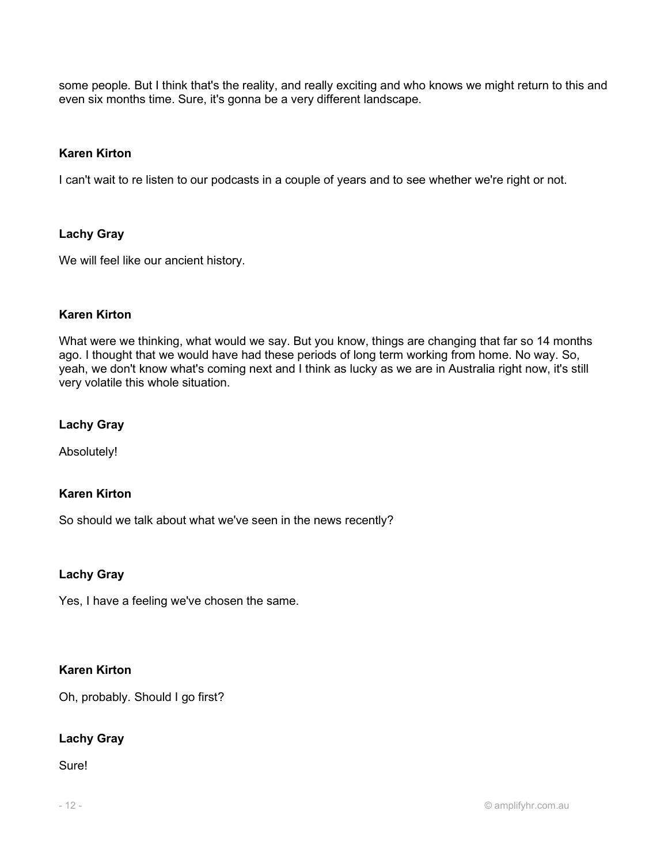some people. But I think that's the reality, and really exciting and who knows we might return to this and even six months time. Sure, it's gonna be a very different landscape.

# Karen Kirton

I can't wait to re listen to our podcasts in a couple of years and to see whether we're right or not.

# Lachy Gray

We will feel like our ancient history.

# Karen Kirton

What were we thinking, what would we say. But you know, things are changing that far so 14 months ago. I thought that we would have had these periods of long term working from home. No way. So, yeah, we don't know what's coming next and I think as lucky as we are in Australia right now, it's still very volatile this whole situation.

# Lachy Gray

Absolutely!

# Karen Kirton

So should we talk about what we've seen in the news recently?

# Lachy Gray

Yes, I have a feeling we've chosen the same.

# Karen Kirton

Oh, probably. Should I go first?

# Lachy Gray

Sure!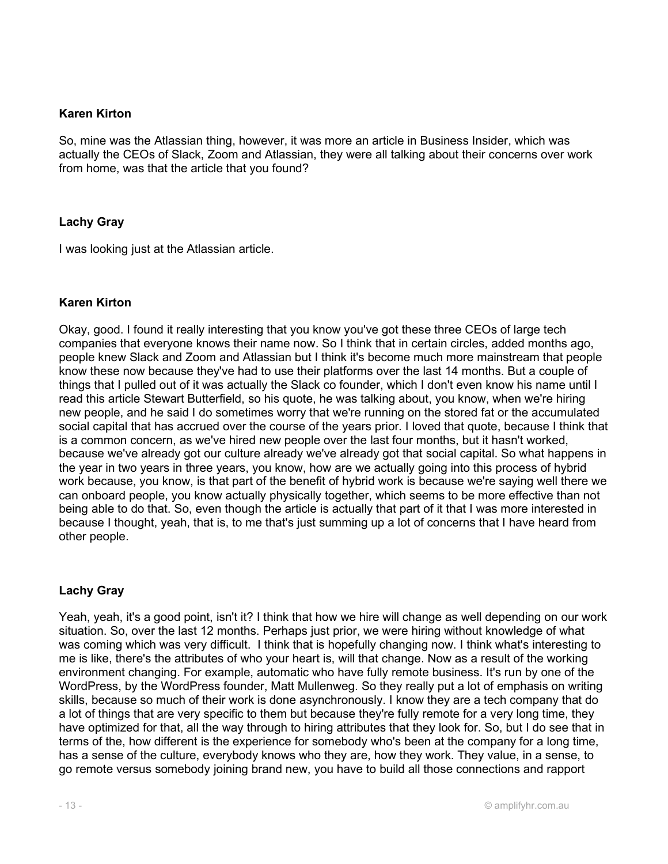So, mine was the Atlassian thing, however, it was more an article in Business Insider, which was actually the CEOs of Slack, Zoom and Atlassian, they were all talking about their concerns over work from home, was that the article that you found?

# Lachy Gray

I was looking just at the Atlassian article.

#### Karen Kirton

Okay, good. I found it really interesting that you know you've got these three CEOs of large tech companies that everyone knows their name now. So I think that in certain circles, added months ago, people knew Slack and Zoom and Atlassian but I think it's become much more mainstream that people know these now because they've had to use their platforms over the last 14 months. But a couple of things that I pulled out of it was actually the Slack co founder, which I don't even know his name until I read this article Stewart Butterfield, so his quote, he was talking about, you know, when we're hiring new people, and he said I do sometimes worry that we're running on the stored fat or the accumulated social capital that has accrued over the course of the years prior. I loved that quote, because I think that is a common concern, as we've hired new people over the last four months, but it hasn't worked, because we've already got our culture already we've already got that social capital. So what happens in the year in two years in three years, you know, how are we actually going into this process of hybrid work because, you know, is that part of the benefit of hybrid work is because we're saying well there we can onboard people, you know actually physically together, which seems to be more effective than not being able to do that. So, even though the article is actually that part of it that I was more interested in because I thought, yeah, that is, to me that's just summing up a lot of concerns that I have heard from other people.

#### Lachy Gray

Yeah, yeah, it's a good point, isn't it? I think that how we hire will change as well depending on our work situation. So, over the last 12 months. Perhaps just prior, we were hiring without knowledge of what was coming which was very difficult. I think that is hopefully changing now. I think what's interesting to me is like, there's the attributes of who your heart is, will that change. Now as a result of the working environment changing. For example, automatic who have fully remote business. It's run by one of the WordPress, by the WordPress founder, Matt Mullenweg. So they really put a lot of emphasis on writing skills, because so much of their work is done asynchronously. I know they are a tech company that do a lot of things that are very specific to them but because they're fully remote for a very long time, they have optimized for that, all the way through to hiring attributes that they look for. So, but I do see that in terms of the, how different is the experience for somebody who's been at the company for a long time, has a sense of the culture, everybody knows who they are, how they work. They value, in a sense, to go remote versus somebody joining brand new, you have to build all those connections and rapport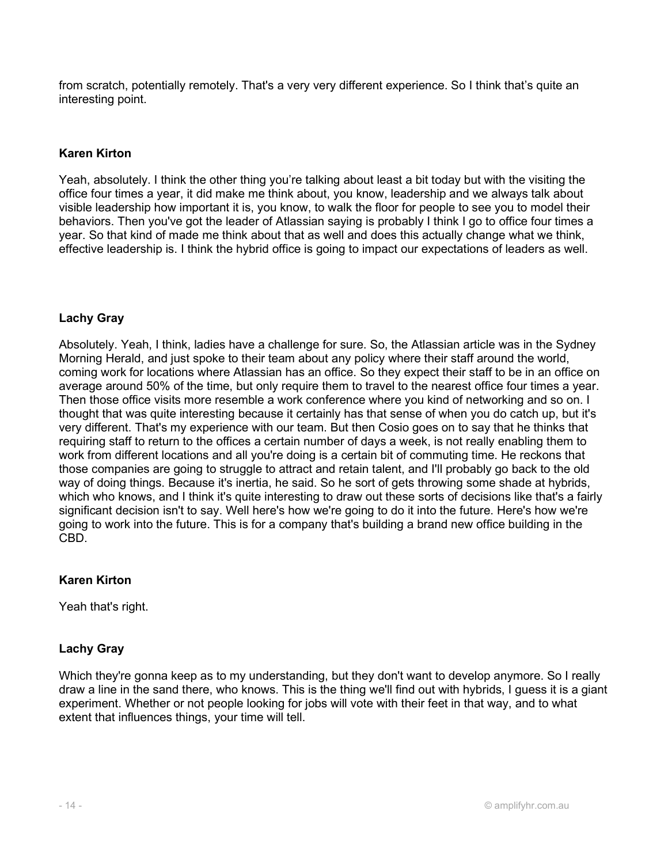from scratch, potentially remotely. That's a very very different experience. So I think that's quite an interesting point.

# Karen Kirton

Yeah, absolutely. I think the other thing you're talking about least a bit today but with the visiting the office four times a year, it did make me think about, you know, leadership and we always talk about visible leadership how important it is, you know, to walk the floor for people to see you to model their behaviors. Then you've got the leader of Atlassian saying is probably I think I go to office four times a year. So that kind of made me think about that as well and does this actually change what we think, effective leadership is. I think the hybrid office is going to impact our expectations of leaders as well.

# Lachy Gray

Absolutely. Yeah, I think, ladies have a challenge for sure. So, the Atlassian article was in the Sydney Morning Herald, and just spoke to their team about any policy where their staff around the world, coming work for locations where Atlassian has an office. So they expect their staff to be in an office on average around 50% of the time, but only require them to travel to the nearest office four times a year. Then those office visits more resemble a work conference where you kind of networking and so on. I thought that was quite interesting because it certainly has that sense of when you do catch up, but it's very different. That's my experience with our team. But then Cosio goes on to say that he thinks that requiring staff to return to the offices a certain number of days a week, is not really enabling them to work from different locations and all you're doing is a certain bit of commuting time. He reckons that those companies are going to struggle to attract and retain talent, and I'll probably go back to the old way of doing things. Because it's inertia, he said. So he sort of gets throwing some shade at hybrids, which who knows, and I think it's quite interesting to draw out these sorts of decisions like that's a fairly significant decision isn't to say. Well here's how we're going to do it into the future. Here's how we're going to work into the future. This is for a company that's building a brand new office building in the CBD.

# Karen Kirton

Yeah that's right.

# Lachy Gray

Which they're gonna keep as to my understanding, but they don't want to develop anymore. So I really draw a line in the sand there, who knows. This is the thing we'll find out with hybrids, I guess it is a giant experiment. Whether or not people looking for jobs will vote with their feet in that way, and to what extent that influences things, your time will tell.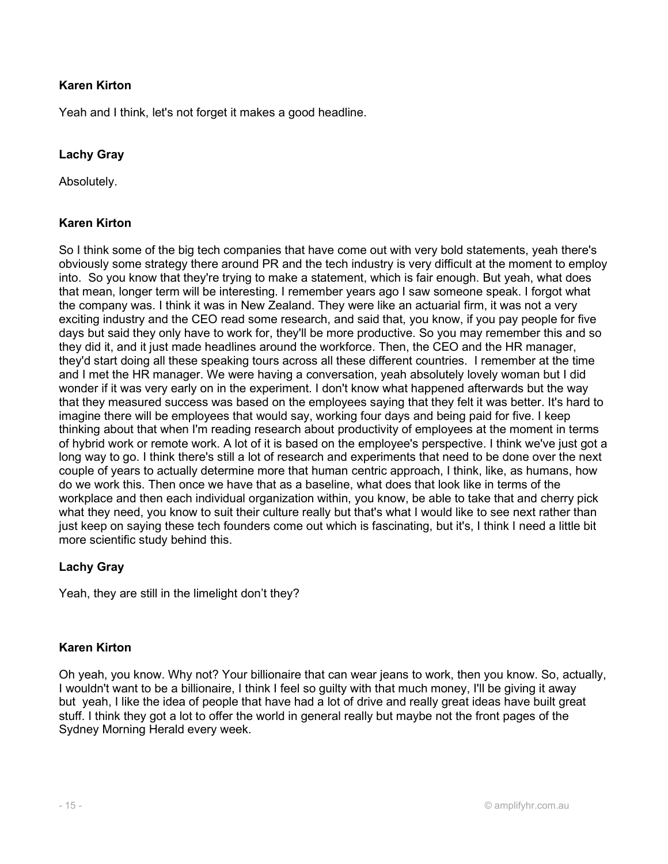Yeah and I think, let's not forget it makes a good headline.

# Lachy Gray

Absolutely.

# Karen Kirton

So I think some of the big tech companies that have come out with very bold statements, yeah there's obviously some strategy there around PR and the tech industry is very difficult at the moment to employ into. So you know that they're trying to make a statement, which is fair enough. But yeah, what does that mean, longer term will be interesting. I remember years ago I saw someone speak. I forgot what the company was. I think it was in New Zealand. They were like an actuarial firm, it was not a very exciting industry and the CEO read some research, and said that, you know, if you pay people for five days but said they only have to work for, they'll be more productive. So you may remember this and so they did it, and it just made headlines around the workforce. Then, the CEO and the HR manager, they'd start doing all these speaking tours across all these different countries. I remember at the time and I met the HR manager. We were having a conversation, yeah absolutely lovely woman but I did wonder if it was very early on in the experiment. I don't know what happened afterwards but the way that they measured success was based on the employees saying that they felt it was better. It's hard to imagine there will be employees that would say, working four days and being paid for five. I keep thinking about that when I'm reading research about productivity of employees at the moment in terms of hybrid work or remote work. A lot of it is based on the employee's perspective. I think we've just got a long way to go. I think there's still a lot of research and experiments that need to be done over the next couple of years to actually determine more that human centric approach, I think, like, as humans, how do we work this. Then once we have that as a baseline, what does that look like in terms of the workplace and then each individual organization within, you know, be able to take that and cherry pick what they need, you know to suit their culture really but that's what I would like to see next rather than just keep on saying these tech founders come out which is fascinating, but it's, I think I need a little bit more scientific study behind this.

# Lachy Gray

Yeah, they are still in the limelight don't they?

# Karen Kirton

Oh yeah, you know. Why not? Your billionaire that can wear jeans to work, then you know. So, actually, I wouldn't want to be a billionaire, I think I feel so guilty with that much money, I'll be giving it away but yeah, I like the idea of people that have had a lot of drive and really great ideas have built great stuff. I think they got a lot to offer the world in general really but maybe not the front pages of the Sydney Morning Herald every week.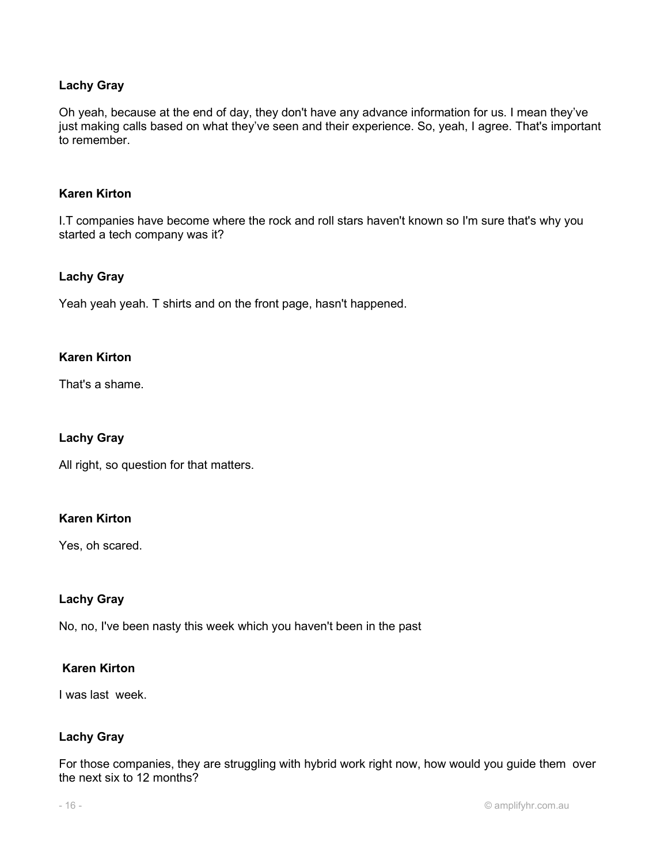# Lachy Gray

Oh yeah, because at the end of day, they don't have any advance information for us. I mean they've just making calls based on what they've seen and their experience. So, yeah, I agree. That's important to remember.

#### Karen Kirton

I.T companies have become where the rock and roll stars haven't known so I'm sure that's why you started a tech company was it?

#### Lachy Gray

Yeah yeah yeah. T shirts and on the front page, hasn't happened.

#### Karen Kirton

That's a shame.

#### Lachy Gray

All right, so question for that matters.

# Karen Kirton

Yes, oh scared.

#### Lachy Gray

No, no, I've been nasty this week which you haven't been in the past

#### Karen Kirton

I was last week.

#### Lachy Gray

For those companies, they are struggling with hybrid work right now, how would you guide them over the next six to 12 months?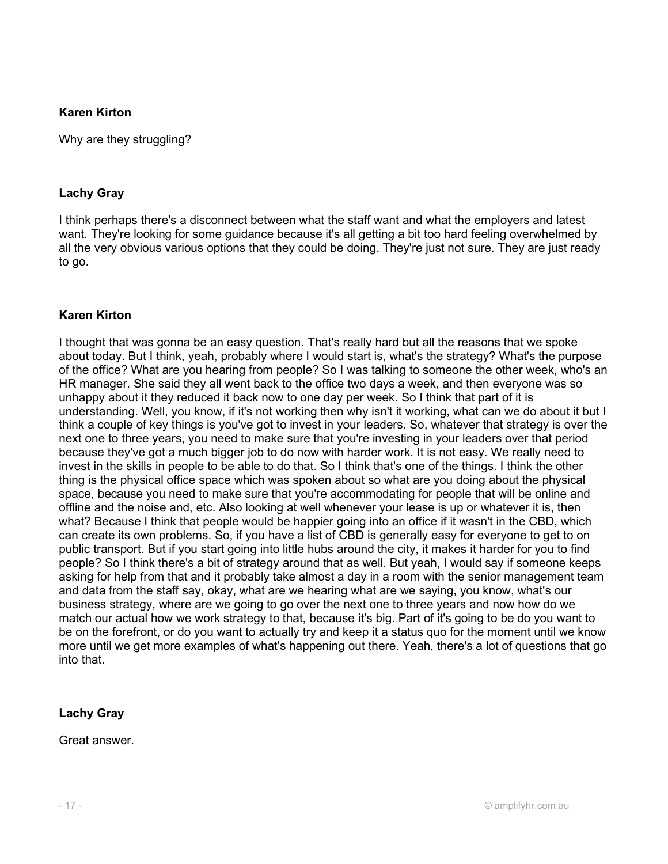Why are they struggling?

# Lachy Gray

I think perhaps there's a disconnect between what the staff want and what the employers and latest want. They're looking for some guidance because it's all getting a bit too hard feeling overwhelmed by all the very obvious various options that they could be doing. They're just not sure. They are just ready to go.

# Karen Kirton

I thought that was gonna be an easy question. That's really hard but all the reasons that we spoke about today. But I think, yeah, probably where I would start is, what's the strategy? What's the purpose of the office? What are you hearing from people? So I was talking to someone the other week, who's an HR manager. She said they all went back to the office two days a week, and then everyone was so unhappy about it they reduced it back now to one day per week. So I think that part of it is understanding. Well, you know, if it's not working then why isn't it working, what can we do about it but I think a couple of key things is you've got to invest in your leaders. So, whatever that strategy is over the next one to three years, you need to make sure that you're investing in your leaders over that period because they've got a much bigger job to do now with harder work. It is not easy. We really need to invest in the skills in people to be able to do that. So I think that's one of the things. I think the other thing is the physical office space which was spoken about so what are you doing about the physical space, because you need to make sure that you're accommodating for people that will be online and offline and the noise and, etc. Also looking at well whenever your lease is up or whatever it is, then what? Because I think that people would be happier going into an office if it wasn't in the CBD, which can create its own problems. So, if you have a list of CBD is generally easy for everyone to get to on public transport. But if you start going into little hubs around the city, it makes it harder for you to find people? So I think there's a bit of strategy around that as well. But yeah, I would say if someone keeps asking for help from that and it probably take almost a day in a room with the senior management team and data from the staff say, okay, what are we hearing what are we saying, you know, what's our business strategy, where are we going to go over the next one to three years and now how do we match our actual how we work strategy to that, because it's big. Part of it's going to be do you want to be on the forefront, or do you want to actually try and keep it a status quo for the moment until we know more until we get more examples of what's happening out there. Yeah, there's a lot of questions that go into that.

# Lachy Gray

Great answer.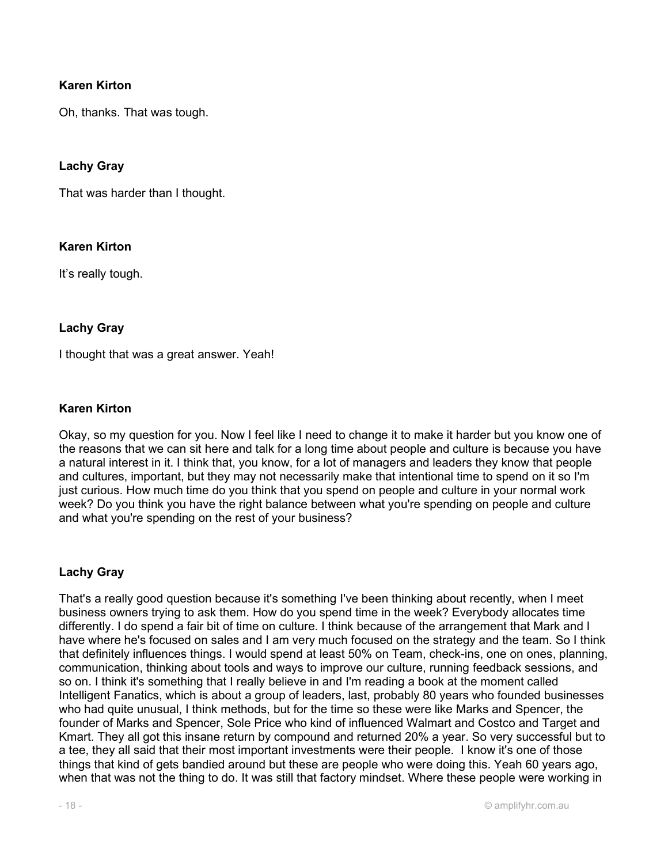Oh, thanks. That was tough.

#### Lachy Gray

That was harder than I thought.

# Karen Kirton

It's really tough.

#### Lachy Gray

I thought that was a great answer. Yeah!

# Karen Kirton

Okay, so my question for you. Now I feel like I need to change it to make it harder but you know one of the reasons that we can sit here and talk for a long time about people and culture is because you have a natural interest in it. I think that, you know, for a lot of managers and leaders they know that people and cultures, important, but they may not necessarily make that intentional time to spend on it so I'm just curious. How much time do you think that you spend on people and culture in your normal work week? Do you think you have the right balance between what you're spending on people and culture and what you're spending on the rest of your business?

# Lachy Gray

That's a really good question because it's something I've been thinking about recently, when I meet business owners trying to ask them. How do you spend time in the week? Everybody allocates time differently. I do spend a fair bit of time on culture. I think because of the arrangement that Mark and I have where he's focused on sales and I am very much focused on the strategy and the team. So I think that definitely influences things. I would spend at least 50% on Team, check-ins, one on ones, planning, communication, thinking about tools and ways to improve our culture, running feedback sessions, and so on. I think it's something that I really believe in and I'm reading a book at the moment called Intelligent Fanatics, which is about a group of leaders, last, probably 80 years who founded businesses who had quite unusual, I think methods, but for the time so these were like Marks and Spencer, the founder of Marks and Spencer, Sole Price who kind of influenced Walmart and Costco and Target and Kmart. They all got this insane return by compound and returned 20% a year. So very successful but to a tee, they all said that their most important investments were their people. I know it's one of those things that kind of gets bandied around but these are people who were doing this. Yeah 60 years ago, when that was not the thing to do. It was still that factory mindset. Where these people were working in